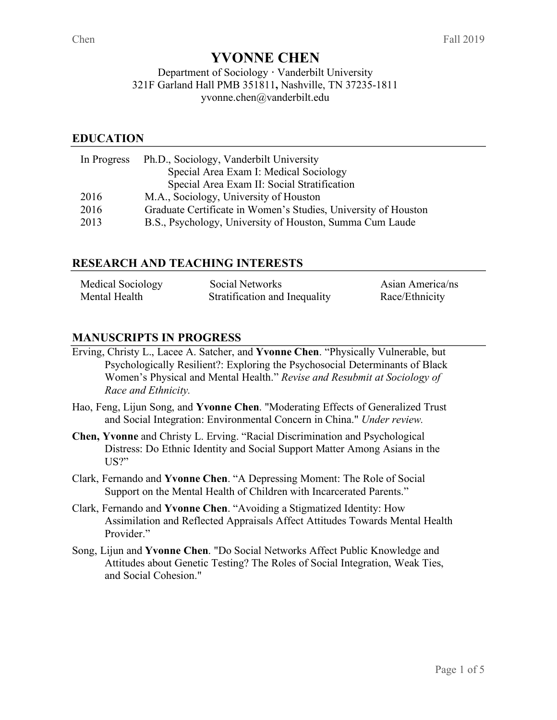# **YVONNE CHEN**

#### Department of Sociology **·** Vanderbilt University 321F Garland Hall PMB 351811**,** Nashville, TN 37235-1811 yvonne.chen@vanderbilt.edu

## **EDUCATION**

| In Progress | Ph.D., Sociology, Vanderbilt University                        |
|-------------|----------------------------------------------------------------|
|             | Special Area Exam I: Medical Sociology                         |
|             | Special Area Exam II: Social Stratification                    |
| 2016        | M.A., Sociology, University of Houston                         |
| 2016        | Graduate Certificate in Women's Studies, University of Houston |
| 2013        | B.S., Psychology, University of Houston, Summa Cum Laude       |

## **RESEARCH AND TEACHING INTERESTS**

| Medical Sociology | Social Networks               | Asian America/ns |
|-------------------|-------------------------------|------------------|
| Mental Health     | Stratification and Inequality | Race/Ethnicity   |

# **MANUSCRIPTS IN PROGRESS**

- Erving, Christy L., Lacee A. Satcher, and **Yvonne Chen**. "Physically Vulnerable, but Psychologically Resilient?: Exploring the Psychosocial Determinants of Black Women's Physical and Mental Health." *Revise and Resubmit at Sociology of Race and Ethnicity.*
- Hao, Feng, Lijun Song, and **Yvonne Chen**. "Moderating Effects of Generalized Trust and Social Integration: Environmental Concern in China." *Under review.*
- **Chen, Yvonne** and Christy L. Erving. "Racial Discrimination and Psychological Distress: Do Ethnic Identity and Social Support Matter Among Asians in the US?"
- Clark, Fernando and **Yvonne Chen**. "A Depressing Moment: The Role of Social Support on the Mental Health of Children with Incarcerated Parents."
- Clark, Fernando and **Yvonne Chen**. "Avoiding a Stigmatized Identity: How Assimilation and Reflected Appraisals Affect Attitudes Towards Mental Health Provider."
- Song, Lijun and **Yvonne Chen**. "Do Social Networks Affect Public Knowledge and Attitudes about Genetic Testing? The Roles of Social Integration, Weak Ties, and Social Cohesion."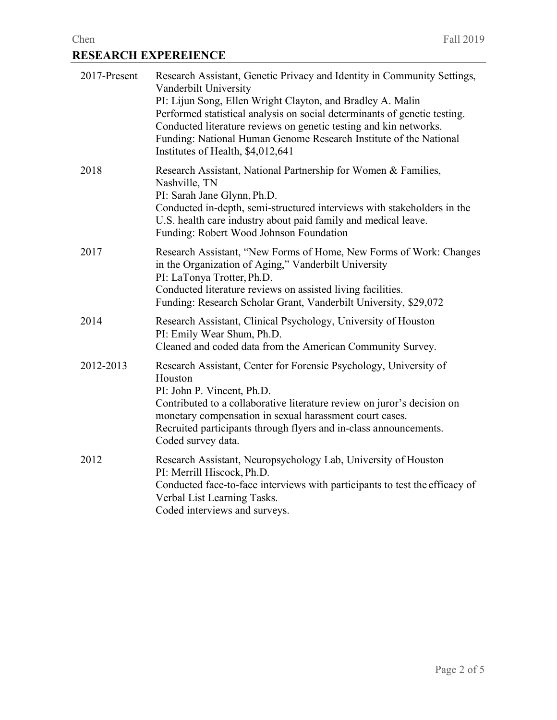# Chen Fall 2019 **RESEARCH EXPEREIENCE**

| 2017-Present | Research Assistant, Genetic Privacy and Identity in Community Settings,<br>Vanderbilt University<br>PI: Lijun Song, Ellen Wright Clayton, and Bradley A. Malin<br>Performed statistical analysis on social determinants of genetic testing.<br>Conducted literature reviews on genetic testing and kin networks.<br>Funding: National Human Genome Research Institute of the National<br>Institutes of Health, \$4,012,641 |
|--------------|----------------------------------------------------------------------------------------------------------------------------------------------------------------------------------------------------------------------------------------------------------------------------------------------------------------------------------------------------------------------------------------------------------------------------|
| 2018         | Research Assistant, National Partnership for Women & Families,<br>Nashville, TN<br>PI: Sarah Jane Glynn, Ph.D.<br>Conducted in-depth, semi-structured interviews with stakeholders in the<br>U.S. health care industry about paid family and medical leave.<br>Funding: Robert Wood Johnson Foundation                                                                                                                     |
| 2017         | Research Assistant, "New Forms of Home, New Forms of Work: Changes<br>in the Organization of Aging," Vanderbilt University<br>PI: LaTonya Trotter, Ph.D.<br>Conducted literature reviews on assisted living facilities.<br>Funding: Research Scholar Grant, Vanderbilt University, \$29,072                                                                                                                                |
| 2014         | Research Assistant, Clinical Psychology, University of Houston<br>PI: Emily Wear Shum, Ph.D.<br>Cleaned and coded data from the American Community Survey.                                                                                                                                                                                                                                                                 |
| 2012-2013    | Research Assistant, Center for Forensic Psychology, University of<br>Houston<br>PI: John P. Vincent, Ph.D.<br>Contributed to a collaborative literature review on juror's decision on<br>monetary compensation in sexual harassment court cases.<br>Recruited participants through flyers and in-class announcements.<br>Coded survey data.                                                                                |
| 2012         | Research Assistant, Neuropsychology Lab, University of Houston<br>PI: Merrill Hiscock, Ph.D.<br>Conducted face-to-face interviews with participants to test the efficacy of<br>Verbal List Learning Tasks.<br>Coded interviews and surveys.                                                                                                                                                                                |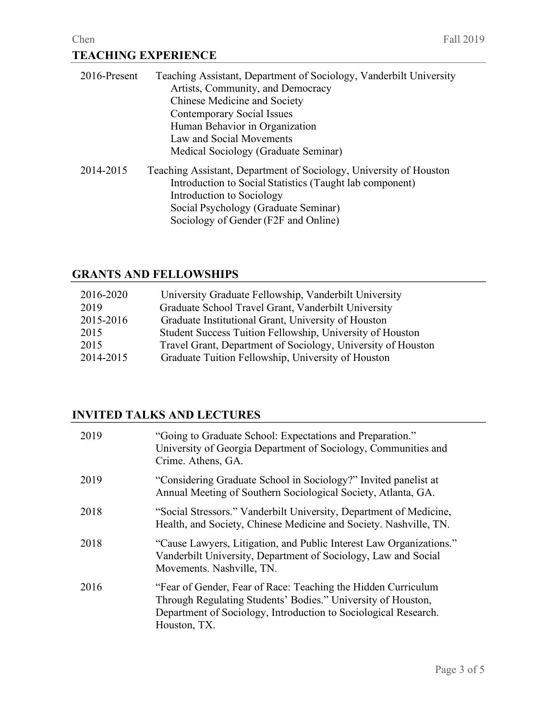| 2016-Present | Teaching Assistant, Department of Sociology, Vanderbilt University<br>Artists, Community, and Democracy<br>Chinese Medicine and Society<br><b>Contemporary Social Issues</b><br>Human Behavior in Organization<br>Law and Social Movements<br>Medical Sociology (Graduate Seminar) |
|--------------|------------------------------------------------------------------------------------------------------------------------------------------------------------------------------------------------------------------------------------------------------------------------------------|
| 2014-2015    | Teaching Assistant, Department of Sociology, University of Houston<br>Introduction to Social Statistics (Taught lab component)<br>Introduction to Sociology<br>Social Psychology (Graduate Seminar)<br>Sociology of Gender (F2F and Online)                                        |

# **GRANTS AND FELLOWSHIPS**

| University Graduate Fellowship, Vanderbilt University        |
|--------------------------------------------------------------|
| Graduate School Travel Grant, Vanderbilt University          |
| Graduate Institutional Grant, University of Houston          |
| Student Success Tuition Fellowship, University of Houston    |
| Travel Grant, Department of Sociology, University of Houston |
| Graduate Tuition Fellowship, University of Houston           |
|                                                              |

# **INVITED TALKS AND LECTURES**

| 2019 | "Going to Graduate School: Expectations and Preparation."<br>University of Georgia Department of Sociology, Communities and<br>Crime. Athens, GA.                                                                |
|------|------------------------------------------------------------------------------------------------------------------------------------------------------------------------------------------------------------------|
| 2019 | "Considering Graduate School in Sociology?" Invited panelist at<br>Annual Meeting of Southern Sociological Society, Atlanta, GA.                                                                                 |
| 2018 | "Social Stressors." Vanderbilt University, Department of Medicine,<br>Health, and Society, Chinese Medicine and Society. Nashville, TN.                                                                          |
| 2018 | "Cause Lawyers, Litigation, and Public Interest Law Organizations."<br>Vanderbilt University, Department of Sociology, Law and Social<br>Movements. Nashville, TN.                                               |
| 2016 | "Fear of Gender, Fear of Race: Teaching the Hidden Curriculum<br>Through Regulating Students' Bodies." University of Houston,<br>Department of Sociology, Introduction to Sociological Research.<br>Houston, TX. |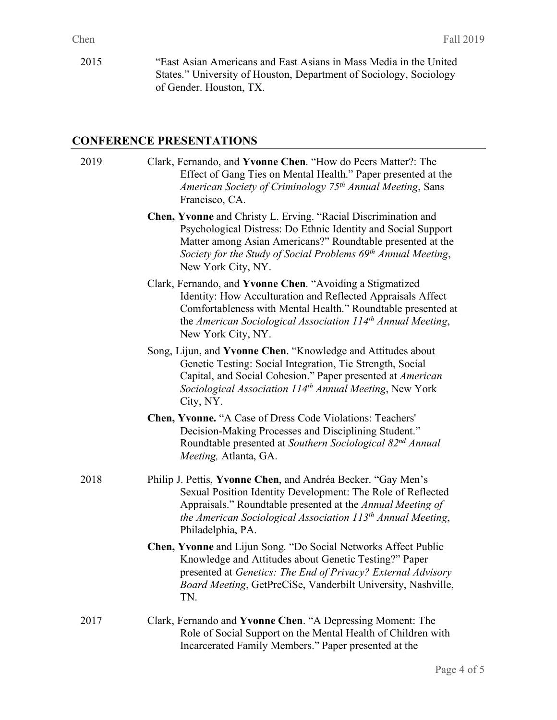2015 "East Asian Americans and East Asians in Mass Media in the United States." University of Houston, Department of Sociology, Sociology of Gender. Houston, TX.

#### **CONFERENCE PRESENTATIONS**

2019 Clark, Fernando, and **Yvonne Chen**. "How do Peers Matter?: The Effect of Gang Ties on Mental Health." Paper presented at the *American Society of Criminology 75th Annual Meeting*, Sans Francisco, CA. **Chen, Yvonne** and Christy L. Erving. "Racial Discrimination and Psychological Distress: Do Ethnic Identity and Social Support Matter among Asian Americans?" Roundtable presented at the *Society for the Study of Social Problems 69th Annual Meeting*, New York City, NY. Clark, Fernando, and **Yvonne Chen**. "Avoiding a Stigmatized Identity: How Acculturation and Reflected Appraisals Affect Comfortableness with Mental Health." Roundtable presented at the *American Sociological Association 114th Annual Meeting*, New York City, NY. Song, Lijun, and **Yvonne Chen**. "Knowledge and Attitudes about Genetic Testing: Social Integration, Tie Strength, Social Capital, and Social Cohesion." Paper presented at *American Sociological Association 114th Annual Meeting*, New York City, NY. **Chen, Yvonne.** "A Case of Dress Code Violations: Teachers' Decision-Making Processes and Disciplining Student." Roundtable presented at *Southern Sociological 82nd Annual Meeting,* Atlanta, GA. 2018 Philip J. Pettis, **Yvonne Chen**, and Andréa Becker. "Gay Men's Sexual Position Identity Development: The Role of Reflected Appraisals." Roundtable presented at the *Annual Meeting of the American Sociological Association 113th Annual Meeting*, Philadelphia, PA. **Chen, Yvonne** and Lijun Song. "Do Social Networks Affect Public Knowledge and Attitudes about Genetic Testing?" Paper presented at *Genetics: The End of Privacy? External Advisory Board Meeting*, GetPreCiSe, Vanderbilt University, Nashville, TN. 2017 Clark, Fernando and **Yvonne Chen**. "A Depressing Moment: The Role of Social Support on the Mental Health of Children with Incarcerated Family Members." Paper presented at the